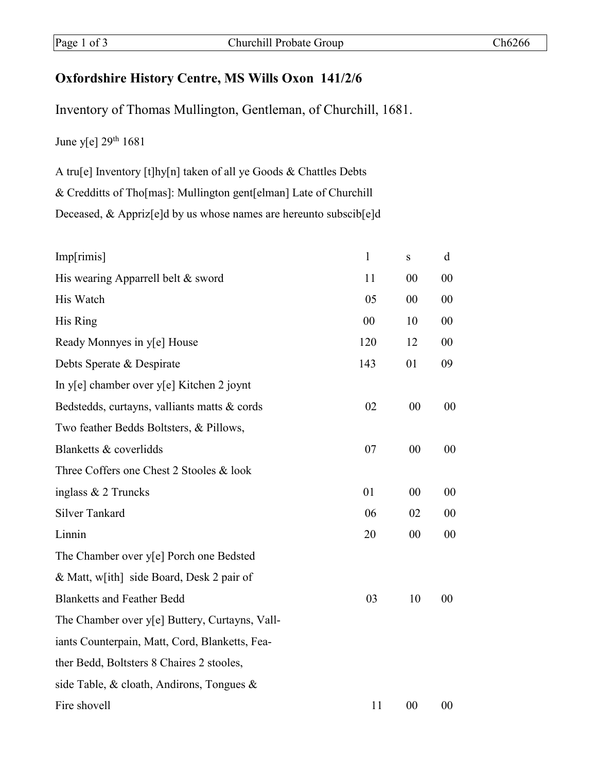## **Oxfordshire History Centre, MS Wills Oxon 141/2/6**

Inventory of Thomas Mullington, Gentleman, of Churchill, 1681.

June y[e]  $29<sup>th</sup> 1681$ 

A tru[e] Inventory [t]hy[n] taken of all ye Goods & Chattles Debts & Credditts of Tho[mas]: Mullington gent[elman] Late of Churchill Deceased, & Appriz[e]d by us whose names are hereunto subscib[e]d

| Imp[rimis]                                     | $\mathbf{1}$ | ${\bf S}$ | d  |
|------------------------------------------------|--------------|-----------|----|
| His wearing Apparrell belt & sword             | 11           | 00        | 00 |
| His Watch                                      | 05           | 00        | 00 |
| His Ring                                       | 00           | 10        | 00 |
| Ready Monnyes in y[e] House                    | 120          | 12        | 00 |
| Debts Sperate & Despirate                      | 143          | 01        | 09 |
| In y[e] chamber over y[e] Kitchen 2 joynt      |              |           |    |
| Bedstedds, curtayns, valliants matts & cords   | 02           | 00        | 00 |
| Two feather Bedds Boltsters, & Pillows,        |              |           |    |
| Blanketts & coverlidds                         | 07           | 00        | 00 |
| Three Coffers one Chest 2 Stooles & look       |              |           |    |
| inglass $& 2$ Truncks                          | 01           | 00        | 00 |
| <b>Silver Tankard</b>                          | 06           | 02        | 00 |
| Linnin                                         | 20           | $00\,$    | 00 |
| The Chamber over y[e] Porch one Bedsted        |              |           |    |
| & Matt, w[ith] side Board, Desk 2 pair of      |              |           |    |
| <b>Blanketts and Feather Bedd</b>              | 03           | 10        | 00 |
| The Chamber over y[e] Buttery, Curtayns, Vall- |              |           |    |
| iants Counterpain, Matt, Cord, Blanketts, Fea- |              |           |    |
| ther Bedd, Boltsters 8 Chaires 2 stooles,      |              |           |    |
| side Table, & cloath, Andirons, Tongues &      |              |           |    |
| Fire shovell                                   | 11           | 00        | 00 |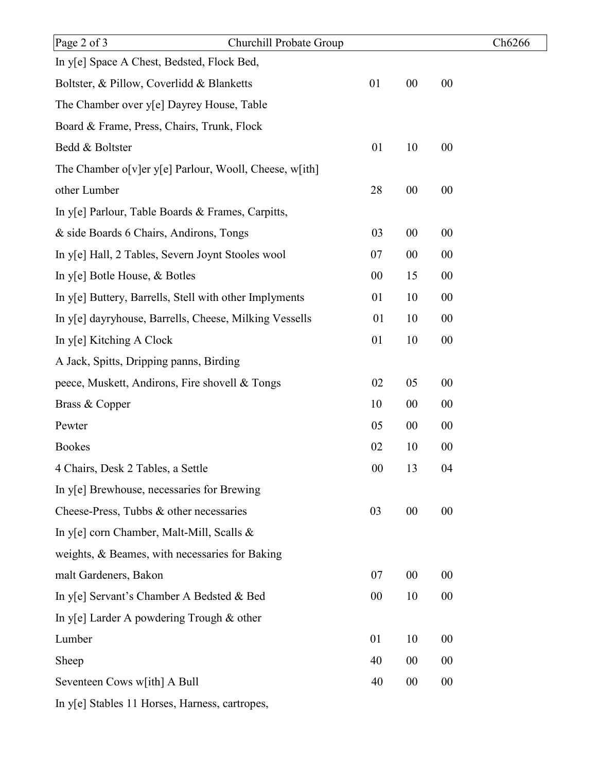|        |    |    | Ch6266 |
|--------|----|----|--------|
|        |    |    |        |
| 01     | 00 | 00 |        |
|        |    |    |        |
|        |    |    |        |
| 01     | 10 | 00 |        |
|        |    |    |        |
| 28     | 00 | 00 |        |
|        |    |    |        |
| 03     | 00 | 00 |        |
| 07     | 00 | 00 |        |
| 00     | 15 | 00 |        |
| 01     | 10 | 00 |        |
| 01     | 10 | 00 |        |
| 01     | 10 | 00 |        |
|        |    |    |        |
| 02     | 05 | 00 |        |
| 10     | 00 | 00 |        |
| 05     | 00 | 00 |        |
| 02     | 10 | 00 |        |
| $00\,$ | 13 | 04 |        |
|        |    |    |        |
| 03     | 00 | 00 |        |
|        |    |    |        |
|        |    |    |        |
| 07     | 00 | 00 |        |
| 00     | 10 | 00 |        |
|        |    |    |        |
| 01     | 10 | 00 |        |
| 40     | 00 | 00 |        |
| 40     | 00 | 00 |        |
|        |    |    |        |
|        |    |    |        |